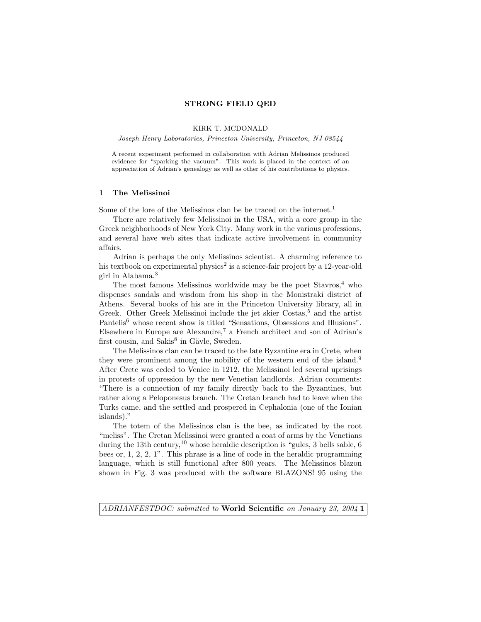### STRONG FIELD QED

KIRK T. MCDONALD

Joseph Henry Laboratories, Princeton University, Princeton, NJ 08544

A recent experiment performed in collaboration with Adrian Melissinos produced evidence for "sparking the vacuum". This work is placed in the context of an appreciation of Adrian's genealogy as well as other of his contributions to physics.

### 1 The Melissinoi

Some of the lore of the Melissinos clan be be traced on the internet.<sup>1</sup>

There are relatively few Melissinoi in the USA, with a core group in the Greek neighborhoods of New York City. Many work in the various professions, and several have web sites that indicate active involvement in community affairs.

Adrian is perhaps the only Melissinos scientist. A charming reference to his textbook on experimental physics<sup>2</sup> is a science-fair project by a 12-year-old girl in Alabama.<sup>3</sup>

The most famous Melissinos worldwide may be the poet  $Stavros<sub>1</sub><sup>4</sup>$  who dispenses sandals and wisdom from his shop in the Monistraki district of Athens. Several books of his are in the Princeton University library, all in Greek. Other Greek Melissinoi include the jet skier Costas,<sup>5</sup> and the artist Pantelis<sup>6</sup> whose recent show is titled "Sensations, Obsessions and Illusions". Elsewhere in Europe are Alexandre,<sup>7</sup> a French architect and son of Adrian's first cousin, and Sakis<sup>8</sup> in Gävle, Sweden.

The Melissinos clan can be traced to the late Byzantine era in Crete, when they were prominent among the nobility of the western end of the island.<sup>9</sup> After Crete was ceded to Venice in 1212, the Melissinoi led several uprisings in protests of oppression by the new Venetian landlords. Adrian comments: "There is a connection of my family directly back to the Byzantines, but rather along a Peloponesus branch. The Cretan branch had to leave when the Turks came, and the settled and prospered in Cephalonia (one of the Ionian islands)."

The totem of the Melissinos clan is the bee, as indicated by the root "meliss". The Cretan Melissinoi were granted a coat of arms by the Venetians during the 13th century,<sup>10</sup> whose heraldic description is "gules, 3 bells sable, 6 bees or, 1, 2, 2, 1". This phrase is a line of code in the heraldic programming language, which is still functional after 800 years. The Melissinos blazon shown in Fig. 3 was produced with the software BLAZONS! 95 using the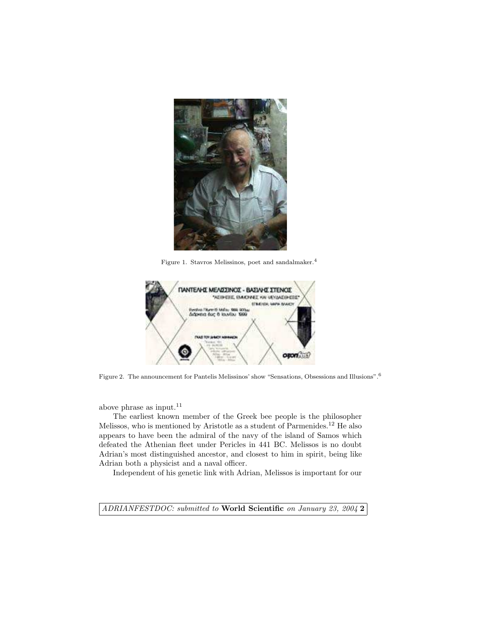

Figure 1. Stavros Melissinos, poet and sandalmaker.<sup>4</sup>



Figure 2. The announcement for Pantelis Melissinos' show "Sensations, Obsessions and Illusions".<sup>6</sup>

above phrase as input.<sup>11</sup>

The earliest known member of the Greek bee people is the philosopher Melissos, who is mentioned by Aristotle as a student of Parmenides.<sup>12</sup> He also appears to have been the admiral of the navy of the island of Samos which defeated the Athenian fleet under Pericles in 441 BC. Melissos is no doubt Adrian's most distinguished ancestor, and closest to him in spirit, being like Adrian both a physicist and a naval officer.

Independent of his genetic link with Adrian, Melissos is important for our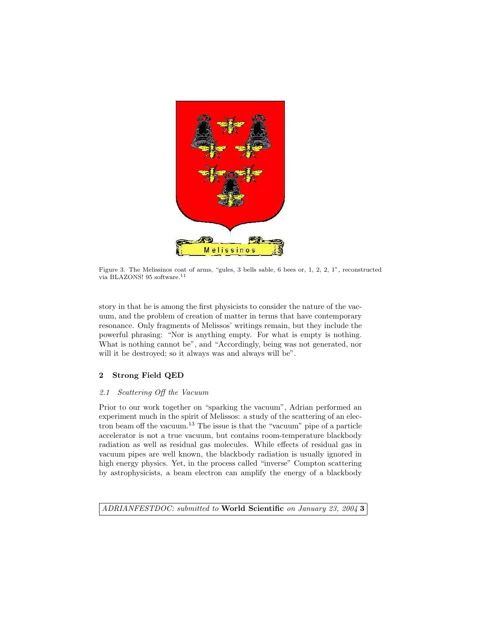

Figure 3. The Melissinos coat of arms, "gules, 3 bells sable, 6 bees or, 1, 2, 2, 1", reconstructed via BLAZONS! 95 software. $^{11}$ 

story in that he is among the first physicists to consider the nature of the vacuum, and the problem of creation of matter in terms that have contemporary resonance. Only fragments of Melissos' writings remain, but they include the powerful phrasing: "Nor is anything empty. For what is empty is nothing. What is nothing cannot be", and "Accordingly, being was not generated, nor will it be destroyed; so it always was and always will be".

### 2 Strong Field QED

### 2.1 Scattering Off the Vacuum

Prior to our work together on "sparking the vacuum", Adrian performed an experiment much in the spirit of Melissos: a study of the scattering of an electron beam off the vacuum.<sup>13</sup> The issue is that the "vacuum" pipe of a particle accelerator is not a true vacuum, but contains room-temperature blackbody radiation as well as residual gas molecules. While effects of residual gas in vacuum pipes are well known, the blackbody radiation is usually ignored in high energy physics. Yet, in the process called "inverse" Compton scattering by astrophysicists, a beam electron can amplify the energy of a blackbody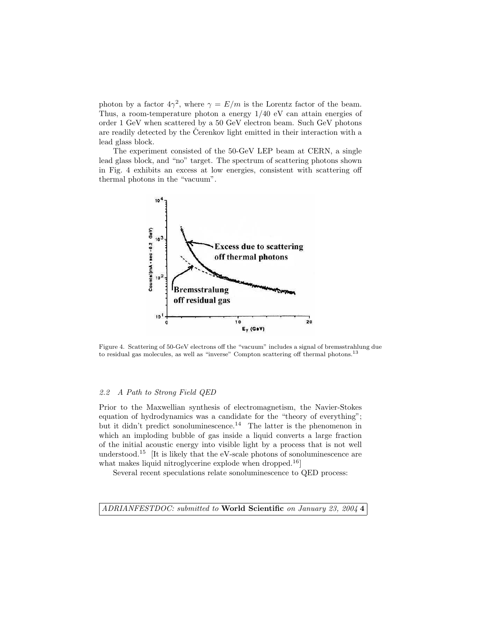photon by a factor  $4\gamma^2$ , where  $\gamma = E/m$  is the Lorentz factor of the beam. Thus, a room-temperature photon a energy 1/40 eV can attain energies of order 1 GeV when scattered by a 50 GeV electron beam. Such GeV photons are readily detected by the Cerenkov light emitted in their interaction with a lead glass block.

The experiment consisted of the 50-GeV LEP beam at CERN, a single lead glass block, and "no" target. The spectrum of scattering photons shown in Fig. 4 exhibits an excess at low energies, consistent with scattering off thermal photons in the "vacuum".



Figure 4. Scattering of 50-GeV electrons off the "vacuum" includes a signal of bremsstrahlung due to residual gas molecules, as well as "inverse" Compton scattering off thermal photons.<sup>13</sup>

#### 2.2 A Path to Strong Field QED

Prior to the Maxwellian synthesis of electromagnetism, the Navier-Stokes equation of hydrodynamics was a candidate for the "theory of everything"; but it didn't predict sonoluminescence.<sup>14</sup> The latter is the phenomenon in which an imploding bubble of gas inside a liquid converts a large fraction of the initial acoustic energy into visible light by a process that is not well understood.<sup>15</sup> [It is likely that the eV-scale photons of sonoluminescence are what makes liquid nitroglycerine explode when dropped.<sup>16</sup>

Several recent speculations relate sonoluminescence to QED process: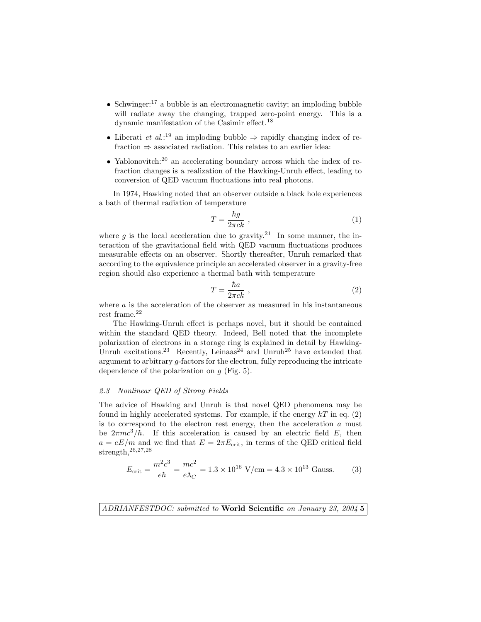- Schwinger:<sup>17</sup> a bubble is an electromagnetic cavity; an imploding bubble will radiate away the changing, trapped zero-point energy. This is a dynamic manifestation of the Casimir effect.<sup>18</sup>
- Liberati *et al.*:<sup>19</sup> an imploding bubble  $\Rightarrow$  rapidly changing index of refraction  $\Rightarrow$  associated radiation. This relates to an earlier idea:
- Yablonovitch:<sup>20</sup> an accelerating boundary across which the index of refraction changes is a realization of the Hawking-Unruh effect, leading to conversion of QED vacuum fluctuations into real photons.

In 1974, Hawking noted that an observer outside a black hole experiences a bath of thermal radiation of temperature

$$
T = \frac{\hbar g}{2\pi c k} \tag{1}
$$

where q is the local acceleration due to gravity.<sup>21</sup> In some manner, the interaction of the gravitational field with QED vacuum fluctuations produces measurable effects on an observer. Shortly thereafter, Unruh remarked that according to the equivalence principle an accelerated observer in a gravity-free region should also experience a thermal bath with temperature

$$
T = \frac{\hbar a}{2\pi c k} \tag{2}
$$

where  $a$  is the acceleration of the observer as measured in his instantaneous rest frame. $^{22}$ 

The Hawking-Unruh effect is perhaps novel, but it should be contained within the standard QED theory. Indeed, Bell noted that the incomplete polarization of electrons in a storage ring is explained in detail by Hawking-Unruh excitations.<sup>23</sup> Recently, Leinaas<sup>24</sup> and Unruh<sup>25</sup> have extended that argument to arbitrary g-factors for the electron, fully reproducing the intricate dependence of the polarization on  $q$  (Fig. 5).

#### 2.3 Nonlinear QED of Strong Fields

The advice of Hawking and Unruh is that novel QED phenomena may be found in highly accelerated systems. For example, if the energy  $kT$  in eq. (2) is to correspond to the electron rest energy, then the acceleration  $a$  must be  $2\pi mc^3/\hbar$ . If this acceleration is caused by an electric field E, then  $a = eE/m$  and we find that  $E = 2\pi E_{\text{crit}}$ , in terms of the QED critical field strength,<sup>26</sup>,27,<sup>28</sup>

$$
E_{\text{crit}} = \frac{m^2 c^3}{e\hbar} = \frac{mc^2}{e\lambda_C} = 1.3 \times 10^{16} \text{ V/cm} = 4.3 \times 10^{13} \text{ Gauss.}
$$
 (3)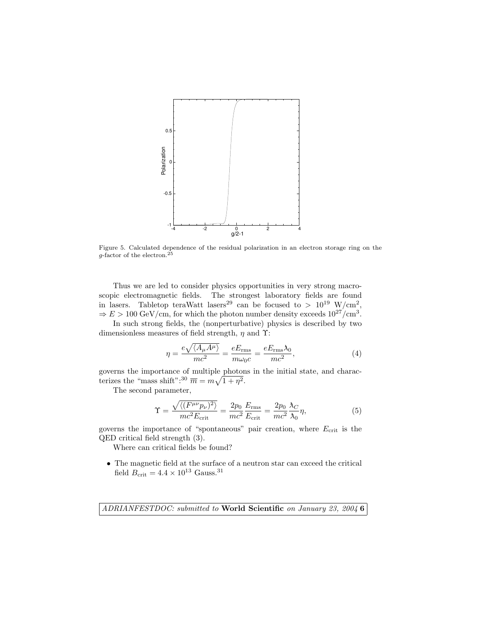

Figure 5. Calculated dependence of the residual polarization in an electron storage ring on the  $g$ -factor of the electron.<sup>25</sup>

Thus we are led to consider physics opportunities in very strong macroscopic electromagnetic fields. The strongest laboratory fields are found in lasers. Tabletop teraWatt lasers<sup>29</sup> can be focused to  $> 10^{19}$  W/cm<sup>2</sup>,  $\Rightarrow E > 100 \text{ GeV/cm, for which the photon number density exceeds } 10^{27} / \text{cm}^3$ .

In such strong fields, the (nonperturbative) physics is described by two dimensionless measures of field strength,  $\eta$  and  $\Upsilon$ :

$$
\eta = \frac{e\sqrt{\langle A_{\mu}A^{\mu}\rangle}}{mc^2} = \frac{eE_{\rm rms}}{m\omega_0 c} = \frac{eE_{\rm rms}\lambda_0}{mc^2},\tag{4}
$$

governs the importance of multiple photons in the initial state, and characterizes the "mass shift":<sup>30</sup>  $\overline{m} = m\sqrt{1+\eta^2}$ .

The second parameter,

$$
\Upsilon = \frac{\sqrt{\langle (F^{\mu\nu}p_{\nu})^2 \rangle}}{mc^2 E_{\text{crit}}} = \frac{2p_0}{mc^2} \frac{E_{\text{rms}}}{E_{\text{crit}}} = \frac{2p_0}{mc^2} \frac{\lambda_C}{\lambda_0} \eta,
$$
\n(5)

governs the importance of "spontaneous" pair creation, where  $E_{\text{crit}}$  is the QED critical field strength (3).

Where can critical fields be found?

• The magnetic field at the surface of a neutron star can exceed the critical field  $B_{\text{crit}} = 4.4 \times 10^{13}$  Gauss.<sup>31</sup>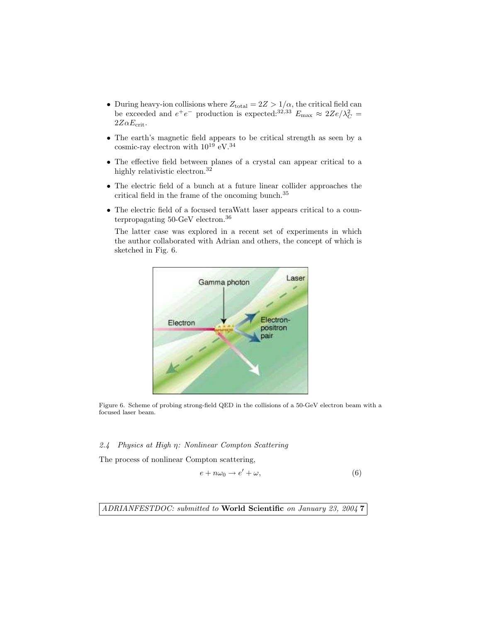- During heavy-ion collisions where  $Z_{\text{total}} = 2Z > 1/\alpha$ , the critical field can be exceeded and  $e^+e^-$  production is expected.<sup>32,33</sup>  $E_{\text{max}} \approx 2Ze/\lambda_C^2 =$  $2Z\alpha E_{\rm crit}$ .
- The earth's magnetic field appears to be critical strength as seen by a cosmic-ray electron with  $10^{19}$   $\rm eV.^{34}$
- The effective field between planes of a crystal can appear critical to a highly relativistic electron.<sup>32</sup>
- The electric field of a bunch at a future linear collider approaches the critical field in the frame of the oncoming bunch.<sup>35</sup>
- The electric field of a focused teraWatt laser appears critical to a counterpropagating 50-GeV electron.<sup>36</sup>

The latter case was explored in a recent set of experiments in which the author collaborated with Adrian and others, the concept of which is sketched in Fig. 6.



Figure 6. Scheme of probing strong-field QED in the collisions of a 50-GeV electron beam with a focused laser beam.

### 2.4 Physics at High η: Nonlinear Compton Scattering

The process of nonlinear Compton scattering,

$$
e + n\omega_0 \to e' + \omega,\tag{6}
$$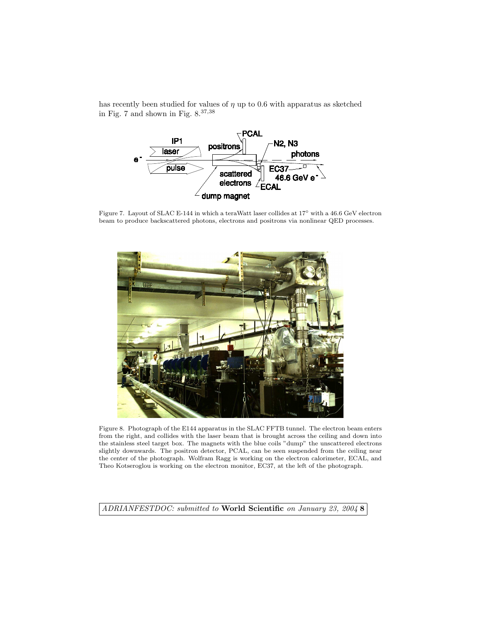has recently been studied for values of  $\eta$  up to 0.6 with apparatus as sketched in Fig. 7 and shown in Fig.  $8.^{37,38}\,$ 



Figure 7. Layout of SLAC E-144 in which a teraWatt laser collides at 17◦ with a 46.6 GeV electron beam to produce backscattered photons, electrons and positrons via nonlinear QED processes.



Figure 8. Photograph of the E144 apparatus in the SLAC FFTB tunnel. The electron beam enters from the right, and collides with the laser beam that is brought across the ceiling and down into the stainless steel target box. The magnets with the blue coils "dump" the unscattered electrons slightly downwards. The positron detector, PCAL, can be seen suspended from the ceiling near the center of the photograph. Wolfram Ragg is working on the electron calorimeter, ECAL, and Theo Kotseroglou is working on the electron monitor, EC37, at the left of the photograph.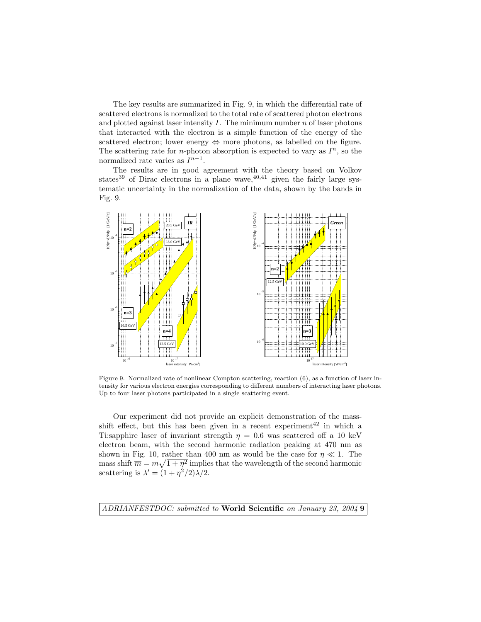The key results are summarized in Fig. 9, in which the differential rate of scattered electrons is normalized to the total rate of scattered photon electrons and plotted against laser intensity  $I$ . The minimum number  $n$  of laser photons that interacted with the electron is a simple function of the energy of the scattered electron; lower energy ⇔ more photons, as labelled on the figure. The scattering rate for *n*-photon absorption is expected to vary as  $I<sup>n</sup>$ , so the normalized rate varies as  $I^{n-1}$ .

The results are in good agreement with the theory based on Volkov states<sup>39</sup> of Dirac electrons in a plane wave,  $40,41$  given the fairly large systematic uncertainty in the normalization of the data, shown by the bands in Fig. 9.



Figure 9. Normalized rate of nonlinear Compton scattering, reaction (6), as a function of laser intensity for various electron energies corresponding to different numbers of interacting laser photons. Up to four laser photons participated in a single scattering event.

Our experiment did not provide an explicit demonstration of the massshift effect, but this has been given in a recent experiment<sup>42</sup> in which a Ti:sapphire laser of invariant strength  $\eta = 0.6$  was scattered off a 10 keV electron beam, with the second harmonic radiation peaking at 470 nm as shown in Fig. 10, rather than 400 nm as would be the case for  $\eta \ll 1$ . The mass shift  $\overline{m} = m\sqrt{1 + \eta^2}$  implies that the wavelength of the second harmonic scattering is  $\lambda' = (1 + \eta^2/2)\lambda/2$ .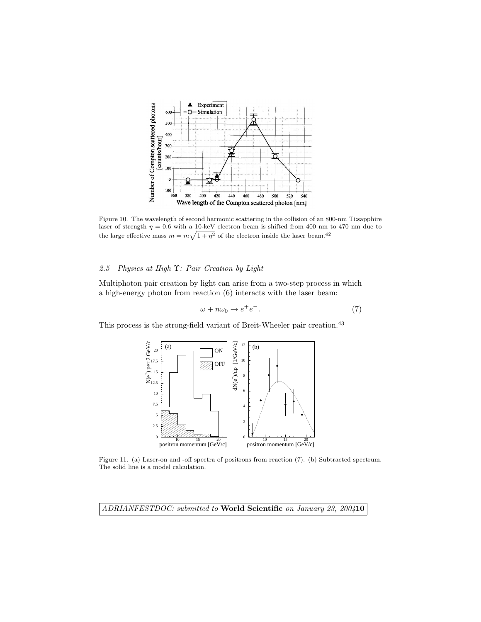

Figure 10. The wavelength of second harmonic scattering in the collision of an 800-nm Ti:sapphire laser of strength  $\eta = 0.6$  with a 10-keV electron beam is shifted from 400 nm to 470 nm due to the large effective mass  $\overline{m} = m\sqrt{1 + \eta^2}$  of the electron inside the laser beam.<sup>42</sup>

## 2.5 Physics at High Υ: Pair Creation by Light

Multiphoton pair creation by light can arise from a two-step process in which a high-energy photon from reaction (6) interacts with the laser beam:

$$
\omega + n\omega_0 \to e^+e^-.
$$
 (7)

This process is the strong-field variant of Breit-Wheeler pair creation.<sup>43</sup>



Figure 11. (a) Laser-on and -off spectra of positrons from reaction (7). (b) Subtracted spectrum. The solid line is a model calculation.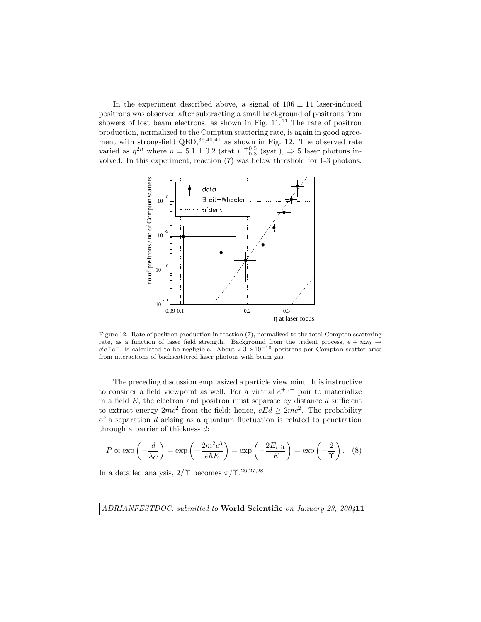In the experiment described above, a signal of  $106 \pm 14$  laser-induced positrons was observed after subtracting a small background of positrons from showers of lost beam electrons, as shown in Fig. 11.<sup>44</sup> The rate of positron production, normalized to the Compton scattering rate, is again in good agreement with strong-field  $QED$ ,  $36,40,41$  as shown in Fig. 12. The observed rate varied as  $\eta^{2n}$  where  $n = 5.1 \pm 0.2$  (stat.)  $^{+0.5}_{-0.8}$  (syst.),  $\Rightarrow$  5 laser photons involved. In this experiment, reaction (7) was below threshold for 1-3 photons.



Figure 12. Rate of positron production in reaction (7), normalized to the total Compton scattering rate, as a function of laser field strength. Background from the trident process,  $e + n\omega_0 \rightarrow$  $e^{\prime}e^{+}e^{-}$ , is calculated to be negligible. About 2-3 ×10<sup>-10</sup> positrons per Compton scatter arise from interactions of backscattered laser photons with beam gas.

The preceding discussion emphasized a particle viewpoint. It is instructive to consider a field viewpoint as well. For a virtual  $e^+e^-$  pair to materialize in a field  $E$ , the electron and positron must separate by distance  $d$  sufficient to extract energy  $2mc^2$  from the field; hence,  $eEd \geq 2mc^2$ . The probability of a separation  $d$  arising as a quantum fluctuation is related to penetration through a barrier of thickness d:

$$
P \propto \exp\left(-\frac{d}{\lambda_C}\right) = \exp\left(-\frac{2m^2c^3}{e\hbar E}\right) = \exp\left(-\frac{2E_{\text{crit}}}{E}\right) = \exp\left(-\frac{2}{\Upsilon}\right). \tag{8}
$$

In a detailed analysis,  $2/\Upsilon$  becomes  $\pi/\Upsilon^{.26,27,28}$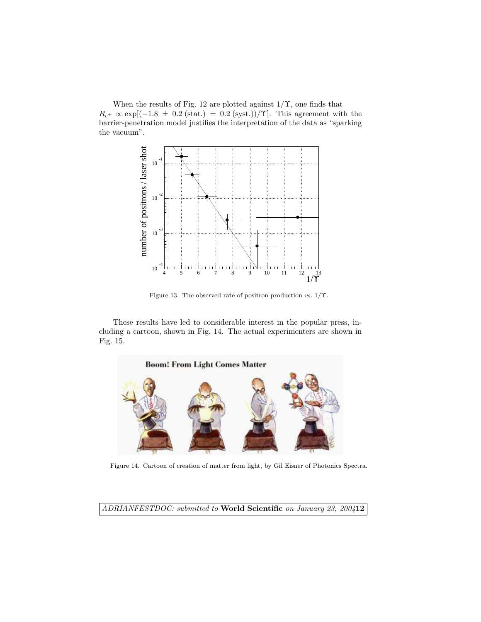When the results of Fig. 12 are plotted against  $1/\Upsilon$ , one finds that  $R_{e^+} \propto \exp[(-1.8 \pm 0.2 \text{ (stat.)} \pm 0.2 \text{ (syst.)})/\Upsilon]$ . This agreement with the barrier-penetration model justifies the interpretation of the data as "sparking the vacuum".



Figure 13. The observed rate of positron production vs. 1/Υ.

These results have led to considerable interest in the popular press, including a cartoon, shown in Fig. 14. The actual experimenters are shown in Fig. 15.



Figure 14. Cartoon of creation of matter from light, by Gil Eisner of Photonics Spectra.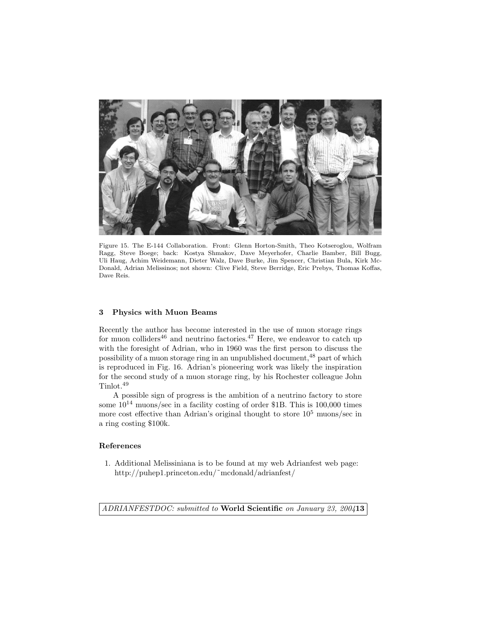

Figure 15. The E-144 Collaboration. Front: Glenn Horton-Smith, Theo Kotseroglou, Wolfram Ragg, Steve Boege; back: Kostya Shmakov, Dave Meyerhofer, Charlie Bamber, Bill Bugg, Uli Haug, Achim Weidemann, Dieter Walz, Dave Burke, Jim Spencer, Christian Bula, Kirk Mc-Donald, Adrian Melissinos; not shown: Clive Field, Steve Berridge, Eric Prebys, Thomas Koffas, Dave Reis.

### 3 Physics with Muon Beams

Recently the author has become interested in the use of muon storage rings for muon colliders<sup>46</sup> and neutrino factories.<sup>47</sup> Here, we endeavor to catch up with the foresight of Adrian, who in 1960 was the first person to discuss the possibility of a muon storage ring in an unpublished document,<sup>48</sup> part of which is reproduced in Fig. 16. Adrian's pioneering work was likely the inspiration for the second study of a muon storage ring, by his Rochester colleague John Tinlot.<sup>49</sup>

A possible sign of progress is the ambition of a neutrino factory to store some  $10^{14}$  muons/sec in a facility costing of order \$1B. This is 100,000 times more cost effective than Adrian's original thought to store  $10^5$  muons/sec in a ring costing \$100k.

### References

1. Additional Melissiniana is to be found at my web Adrianfest web page: http://puhep1.princeton.edu/˜mcdonald/adrianfest/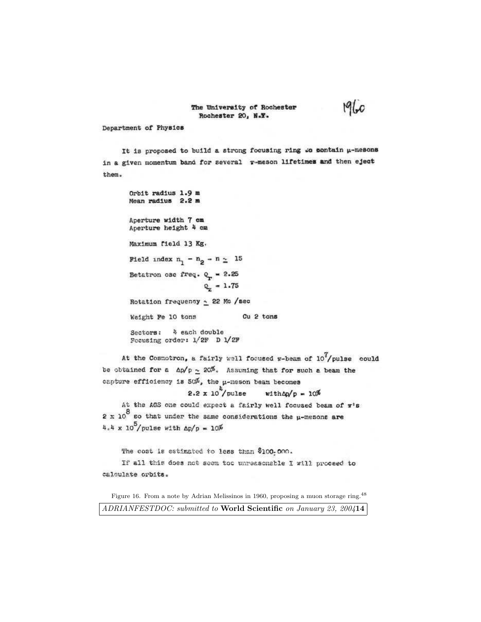#### The University of Rochester Rochester 20, N.Y.

# 1910

#### Department of Physics

It is proposed to build a strong focusing ring to sontain µ-mesons in a given momentum band for several v-meson lifetimes and then eject them.

Orbit radius 1.9 m Mean radius 2.2 m Aperture width 7 cm Aperture height 4 cm Maximum field 13 Kg. Field index  $n_1 - n_2 - n \ge 15$ Betatron osc freq.  $Q_r = 2.25$  $Q_x = 1.75$ Rotation frequency ~ 22 Mo /sec Cu<sub>2</sub> tons Weight Fe 10 tons Sectors: 4 each double Focusing order: 1/2F D 1/2F

At the Cosmotron, a fairly well focused  $n$ -beam of  $10^{7}/p$ ulse could be obtained for a  $\Delta p/p \simeq 20\%$ . Assuming that for such a beam the capture efficiency is  $50\%$ , the  $\mu$ -meson beam becomes

#### $2.2 \times 10^4$ /pulse  $width\Delta p = 10\%$

At the AGS one could expect a fairly well focused beam of w's 2 x 10<sup>8</sup> go that under the same considerations the  $\mu$ -mesons are 4.4 x  $10^5$ /pulse with  $\Delta p/p = 10\%$ 

The cost is estimated to less than \$100-000.

If all this does not seem too unreasonable I will proceed to calculate orbits.

Figure 16. From a note by Adrian Melissinos in 1960, proposing a muon storage ring.<sup>48</sup> ADRIANFESTDOC: submitted to World Scientific on January 23, 200414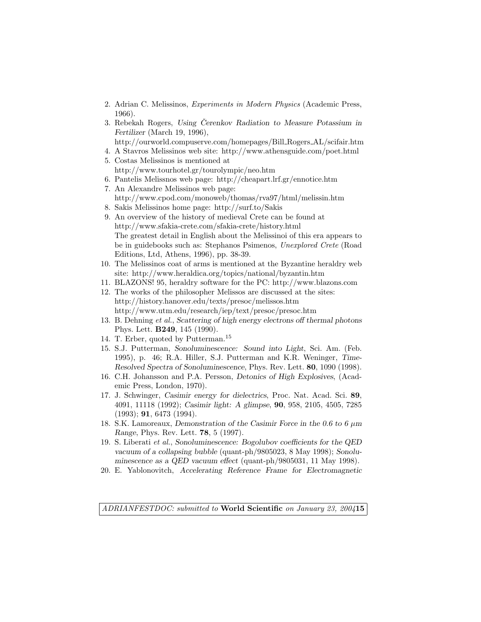- 2. Adrian C. Melissinos, Experiments in Modern Physics (Academic Press, 1966).
- 3. Rebekah Rogers, Using Čerenkov Radiation to Measure Potassium in Fertilizer (March 19, 1996),
	- http://ourworld.compuserve.com/homepages/Bill Rogers AL/scifair.htm
- 4. A Stavros Melissinos web site: http://www.athensguide.com/poet.html
- 5. Costas Melissinos is mentioned at http://www.tourhotel.gr/tourolympic/neo.htm
- 6. Pantelis Melissnos web page: http://cheapart.lrf.gr/ennotice.htm
- 7. An Alexandre Melissinos web page: http://www.cpod.com/monoweb/thomas/rva97/html/melissin.htm
- 8. Sakis Melissinos home page: http://surf.to/Sakis
- 9. An overview of the history of medieval Crete can be found at http://www.sfakia-crete.com/sfakia-crete/history.html The greatest detail in English about the Melissinoi of this era appears to be in guidebooks such as: Stephanos Psimenos, Unexplored Crete (Road Editions, Ltd, Athens, 1996), pp. 38-39.
- 10. The Melissinos coat of arms is mentioned at the Byzantine heraldry web site: http://www.heraldica.org/topics/national/byzantin.htm
- 11. BLAZONS! 95, heraldry software for the PC: http://www.blazons.com
- 12. The works of the philosopher Melissos are discussed at the sites: http://history.hanover.edu/texts/presoc/melissos.htm http://www.utm.edu/research/iep/text/presoc/presoc.htm
- 13. B. Dehning et al., Scattering of high energy electrons off thermal photons Phys. Lett. B249, 145 (1990).
- 14. T. Erber, quoted by Putterman.<sup>15</sup>
- 15. S.J. Putterman, Sonoluminescence: Sound into Light, Sci. Am. (Feb. 1995), p. 46; R.A. Hiller, S.J. Putterman and K.R. Weninger, Time-Resolved Spectra of Sonoluminescence, Phys. Rev. Lett. 80, 1090 (1998).
- 16. C.H. Johansson and P.A. Persson, Detonics of High Explosives, (Academic Press, London, 1970).
- 17. J. Schwinger, Casimir energy for dielectrics, Proc. Nat. Acad. Sci. 89, 4091, 11118 (1992); Casimir light: A glimpse, 90, 958, 2105, 4505, 7285 (1993); 91, 6473 (1994).
- 18. S.K. Lamoreaux, Demonstration of the Casimir Force in the 0.6 to 6  $\mu$ m Range, Phys. Rev. Lett. 78, 5 (1997).
- 19. S. Liberati et al., Sonoluminescence: Bogolubov coefficients for the QED vacuum of a collapsing bubble (quant-ph/9805023, 8 May 1998); Sonoluminescence as a QED vacuum effect (quant-ph/9805031, 11 May 1998).
- 20. E. Yablonovitch, Accelerating Reference Frame for Electromagnetic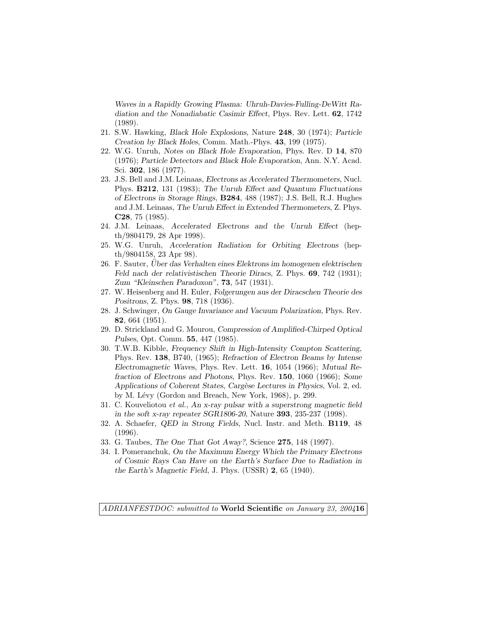Waves in a Rapidly Growing Plasma: Uhruh-Davies-Fulling-DeWitt Radiation and the Nonadiabatic Casimir Effect, Phys. Rev. Lett. 62, 1742 (1989).

- 21. S.W. Hawking, Black Hole Explosions, Nature 248, 30 (1974); Particle Creation by Black Holes, Comm. Math.-Phys. 43, 199 (1975).
- 22. W.G. Unruh, Notes on Black Hole Evaporation, Phys. Rev. D 14, 870 (1976); Particle Detectors and Black Hole Evaporation, Ann. N.Y. Acad. Sci. 302, 186 (1977).
- 23. J.S. Bell and J.M. Leinaas, Electrons as Accelerated Thermometers, Nucl. Phys. B212, 131 (1983); The Unruh Effect and Quantum Fluctuations of Electrons in Storage Rings, B284, 488 (1987); J.S. Bell, R.J. Hughes and J.M. Leinaas, The Unruh Effect in Extended Thermometers, Z. Phys. C28, 75 (1985).
- 24. J.M. Leinaas, Accelerated Electrons and the Unruh Effect (hepth/9804179, 28 Apr 1998).
- 25. W.G. Unruh, Acceleration Radiation for Orbiting Electrons (hepth/9804158, 23 Apr 98).
- 26. F. Sauter, Uber das Verhalten eines Elektrons im homogenen elektrischen ¨ Feld nach der relativistischen Theorie Diracs, Z. Phys. 69, 742 (1931); Zum "Kleinschen Paradoxon", 73, 547 (1931).
- 27. W. Heisenberg and H. Euler, Folgerungen aus der Diracschen Theorie des Positrons, Z. Phys. 98, 718 (1936).
- 28. J. Schwinger, On Gauge Invariance and Vacuum Polarization, Phys. Rev. 82, 664 (1951).
- 29. D. Strickland and G. Mourou, Compression of Amplified-Chirped Optical Pulses, Opt. Comm. 55, 447 (1985).
- 30. T.W.B. Kibble, Frequency Shift in High-Intensity Compton Scattering, Phys. Rev. 138, B740, (1965); Refraction of Electron Beams by Intense Electromagnetic Waves, Phys. Rev. Lett. 16, 1054 (1966); Mutual Refraction of Electrons and Photons, Phys. Rev. 150, 1060 (1966); Some Applications of Coherent States, Cargèse Lectures in Physics, Vol. 2, ed. by M. Lévy (Gordon and Breach, New York, 1968), p. 299.
- 31. C. Kouveliotou et al., An x-ray pulsar with a superstrong magnetic field in the soft x-ray repeater SGR1806-20, Nature 393, 235-237 (1998).
- 32. A. Schaefer, QED in Strong Fields, Nucl. Instr. and Meth. B119, 48 (1996).
- 33. G. Taubes, The One That Got Away?, Science 275, 148 (1997).
- 34. I. Pomeranchuk, On the Maximum Energy Which the Primary Electrons of Cosmic Rays Can Have on the Earth's Surface Due to Radiation in the Earth's Magnetic Field, J. Phys. (USSR) 2, 65 (1940).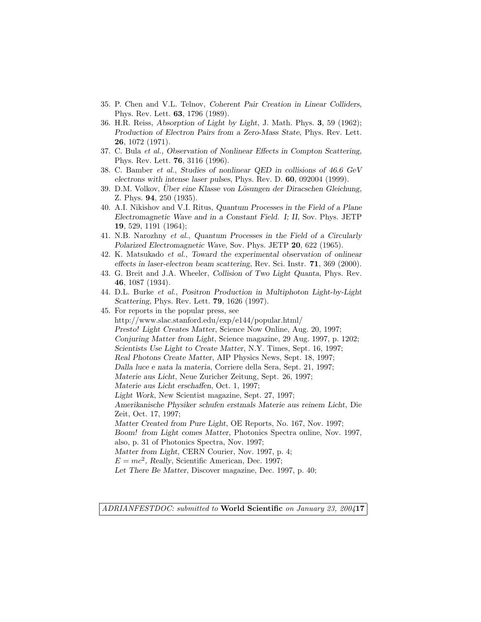- 35. P. Chen and V.L. Telnov, Coherent Pair Creation in Linear Colliders, Phys. Rev. Lett. 63, 1796 (1989).
- 36. H.R. Reiss, Absorption of Light by Light, J. Math. Phys. 3, 59 (1962); Production of Electron Pairs from a Zero-Mass State, Phys. Rev. Lett. 26, 1072 (1971).
- 37. C. Bula et al., Observation of Nonlinear Effects in Compton Scattering, Phys. Rev. Lett. 76, 3116 (1996).
- 38. C. Bamber et al., Studies of nonlinear QED in collisions of 46.6 GeV electrons with intense laser pulses, Phys. Rev. D. 60, 092004 (1999).
- 39. D.M. Volkov, Uber eine Klasse von Lösungen der Diracschen Gleichung, Z. Phys. 94, 250 (1935).
- 40. A.I. Nikishov and V.I. Ritus, Quantum Processes in the Field of a Plane Electromagnetic Wave and in a Constant Field. I; II, Sov. Phys. JETP 19, 529, 1191 (1964);
- 41. N.B. Narozhny et al., Quantum Processes in the Field of a Circularly Polarized Electromagnetic Wave, Sov. Phys. JETP 20, 622 (1965).
- 42. K. Matsukado et al., Toward the experimental observation of onlinear effects in laser-electron beam scattering, Rev. Sci. Instr. 71, 369 (2000).
- 43. G. Breit and J.A. Wheeler, Collision of Two Light Quanta, Phys. Rev. 46, 1087 (1934).
- 44. D.L. Burke et al., Positron Production in Multiphoton Light-by-Light Scattering, Phys. Rev. Lett. 79, 1626 (1997).
- 45. For reports in the popular press, see http://www.slac.stanford.edu/exp/e144/popular.html/ Presto! Light Creates Matter, Science Now Online, Aug. 20, 1997; Conjuring Matter from Light, Science magazine, 29 Aug. 1997, p. 1202; Scientists Use Light to Create Matter, N.Y. Times, Sept. 16, 1997; Real Photons Create Matter, AIP Physics News, Sept. 18, 1997; Dalla luce e nata la materia, Corriere della Sera, Sept. 21, 1997; Materie aus Licht, Neue Zuricher Zeitung, Sept. 26, 1997; Materie aus Licht erschaffen, Oct. 1, 1997; Light Work, New Scientist magazine, Sept. 27, 1997; Amerikanische Physiker schufen erstmals Materie aus reinem Licht, Die Zeit, Oct. 17, 1997; Matter Created from Pure Light, OE Reports, No. 167, Nov. 1997; Boom! from Light comes Matter, Photonics Spectra online, Nov. 1997, also, p. 31 of Photonics Spectra, Nov. 1997; Matter from Light, CERN Courier, Nov. 1997, p. 4;  $E = mc^2$ , Really, Scientific American, Dec. 1997; Let There Be Matter, Discover magazine, Dec. 1997, p. 40;